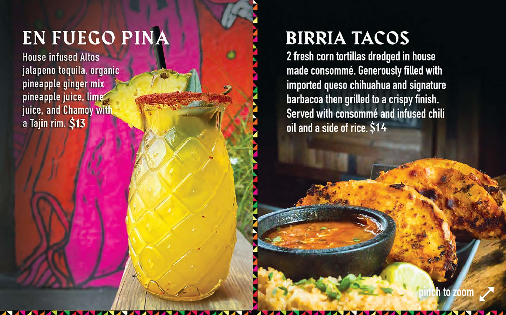### EN FUEGO PINA

**House infused Altos** jalapeno tequila, organic pineapple ginger mix pineapple juice, lime juice, and Chamoy with a Tajin rim. \$13

### **BIRRIA TACOS**

2 fresh corn tortillas dredged in house made consommé. Generously filled with imported queso chihuahua and signature barbacoa then grilled to a crispy finish. Served with consommé and infused chili oil and a side of rice. \$14

h to zoon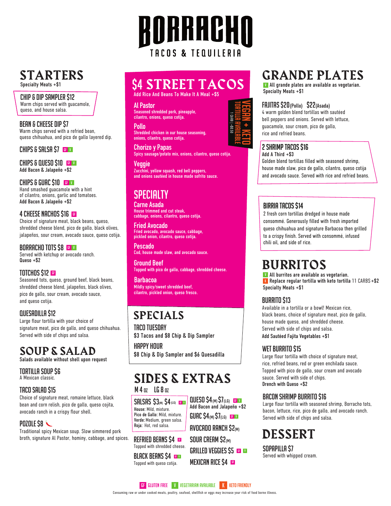### STARTERS Specialty Meats +\$1

chip & dip sampler \$12 Warm chips served with guacamole, queso, and house salsa.

BEAN & CHEESE DIP \$7 Warm chips served with a refried bean, queso chihuahua, and pico de gallo layered dip.

#### CHIPS & SALSA \$7 GF V

Add Bacon & Jalapeño +\$2 chips & queso \$10 gf <sup>v</sup>

Add Bacon & Jalapeño +\$2 Hand smashed guacamole with a hint of cilantro, onions, garlic and tomatoes. CHIPS & GUAC \$10  $G$ 

Choice of signature meat, black beans, queso, shredded cheese blend, pico de gallo, black olives, jalapeños, sour cream, avocado sauce, queso cotija. 4 CHEESE NACHOS \$16

Served with ketchup or avocado ranch. Queso +\$2 BORRACHO TOTS \$8 GF V

### TOTCHOS \$12

Seasoned tots, queso, ground beef, black beans, shredded cheese blend, jalapeños, black olives, pico de gallo, sour cream, avocado sauce, and queso cotija.

### quesadilla \$12

Large flour tortilla with your choice of signature meat, pico de gallo, and queso chihuahua. Served with side of chips and salsa.

### SOUP & SALAD

Salads available without shell upon request

tortilla soup \$6 A Mexican classic.

### TACO SALAD \$15

Choice of signature meat, romaine lettuce, black bean and corn relish, pico de gallo, queso cojita, avocado ranch in a crispy flour shell.

### $P$ <sub>D</sub> $I$ <sub>D</sub> $I$ <sub>D</sub> $I$ <sub>D</sub> $I$ <sub>D</sub> $I$ <sub>D</sub> $I$ <sub>D</sub> $I$

Traditional spicy Mexican soup. Slow simmered pork broth, signature Al Pastor, hominy, cabbage, and spices.

### \$4 STREET TACOS

RORRACHN

TACOS & TEQUILERIA

Add Rice And Beans To Make It A Meal +\$5

**Al Pastor**  Seasoned shredded pork, pineapple, cilantro, onions, queso cotija.

**Pollo** Shredded chicken in our house seasoning, onions, cilantro, queso cotija.

**Chorizo y Papas** Spicy sausage/potato mix, onions, cilantro, queso cotija.

**Veggie** Zucchini, yellow squash, red bell peppers, and onions sautéed in house made sofrito sauce.

### **SPECIALTY**

**Carne Asada** House trimmed and cut steak, cabbage, onions, cilantro, queso cotija.

**Fried Avocado** Fried avocado, avocado sauce, cabbage, pickled onion, cilantro, queso cotija.

**Pescado** Cod, house made slaw, and avocado sauce.

**Ground Beef** Topped with pico de gallo, cabbage, shredded cheese.

**Barbacoa** Mildly spicy/sweet shredded beef, cilantro, pickled onion, queso fresco.

### SPECIALS

Pastor<br>
into, enions, queso codija.<br>
lo conions, queso codija.<br>
delet chicken in our house seasoning.<br>
signalized chicken in our house seasoning.<br>
signalized chicken in our house seasoning.<br>
signalized miximals and the sea TACO TUFSDAY \$3 Tacos and \$8 Chip & Dip Sampler Happy hour

\$8 Chip & Dip Sampler and \$6 Quesadilla

### $M$  4  $n$  LG 8  $n$ SIDES & EXTRAS

Add Bacon and Jalapeño +\$2  $QUESO S4_{(M)}S7_{(LG)}$  GeV

avocado ranch \$2(M)  $GUAC S4$ (M) $S7$ (LG) GF V

GRILLED VEGGIES  $$5$   $\blacksquare$ 

**MEXICAN RICE \$4 GE** 

Verde: Medium, green salsa. Roja: Hot, red salsa. House: Mild, mixture. Pico de Gallo: Mild, mixture.  $SALSAS$   $S3<sub>00</sub>$   $S4<sub>(LG)</sub>$  of v

REFRIED BEANS \$4  $\text{m}$  sour cream \$2 $\text{m}$ Topped with shredded cheese.

**BLACK BEANS \$4 BEAN**<br>Topped with queso cotija.

### GRANDE PLATES

**v** All grande plates are available as vegetarian. Specialty Meats +\$1

### fajitas \$20(Pollo) \$22(Asada)

4 warm golden blend tortillas with sautéed bell peppers and onions. Served with lettuce, guacamole, sour cream, pico de gallo, rice and refried beans.

#### 2 shrimp tacos \$16

Golden blend tortillas filled with seasoned shrimp, house made slaw, pico de gallo, cilantro, queso cotija and avocado sauce. Served with rice and refried beans.  $A$ dd A Third +\$3

### BIRRIA TACOS \$14

2 fresh corn tortillas dredged in house made consommé. Generously filled with fresh imported queso chihuahua and signature Barbacoa then grilled to a crispy finish. Served with consommé, infused chili oil, and side of rice.

### BURRITOS

Specialty Meats +\$1 v All burritos are available as vegetarian. K Replace regular tortilla with keto tortilla 11 CARBS +\$2

### **BURRITO \$13**

Available in a tortilla or a bowl! Mexican rice, black beans, choice of signature meat, pico de gallo, house made queso, and shredded cheese. Served with side of chips and salsa. Add Sautéed Fajita Vegetables +\$1

### wet burrito \$15

Large flour tortilla with choice of signature meat, rice, refried beans, red or green enchilada sauce. Topped with pico de gallo, sour cream and avocado sauce. Served with side of chips. Drench with Queso +\$2

### Bacon Shrimp Burrito \$16

Large flour tortilla with seasoned shrimp, Borracho tots, bacon, lettuce, rice, pico de gallo, and avocado ranch. Served with side of chips and salsa.

### DESSERT

Sopapilla \$7 Served with whipped cream.

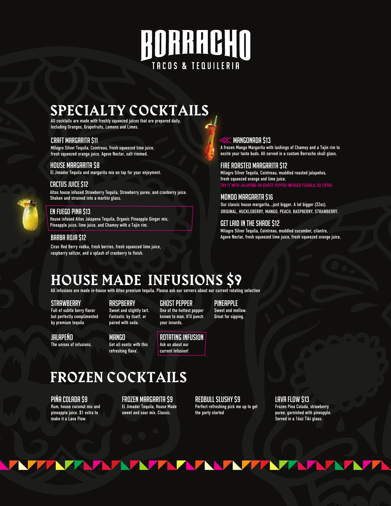# RORRACHO TACOS & TEQUILERIA

### SPECIALTY COCKTAILS

All cocktails are made with freshly squeezed juices that are prepared daily, Including Oranges, Grapefruits, Lemons and Limes.

#### Craft Margarita \$11

Milagro Silver Tequila, Cointreau, fresh squeezed lime juice, fresh squeezed orange juice, Agave Nectar, salt rimmed.

### House Margarita \$8

El Jimador Tequila and margarita mix on tap for your enjoyment.

#### CACTUS JUICE \$12

Altos house infused Strawberry Tequila, Strawberry puree, and cranberry juice. Shaken and strained into a martini glass.

### EN FUEGO PINA \$13

House infused Altos Jalapeno Tequila, Organic Pineapple Ginger mix, Pineapple juice, lime juice, and Chamoy with a Tajin rim.

#### BARBA ROJA \$12

Ciroc Red Berry vodka, fresh berries, fresh squeezed lime juice, raspberry seltzer, and a splash of cranberry to finish.

### Mangonada \$13

A frozen Mango Margarita with lashings of Chamoy and a Tajin rim to excite your taste buds. All served in a custom Borracho skull glass.

Fire Roasted Margarita \$12 Milagro Silver Tequila, Cointreau, muddled roasted jalapeños, fresh squeezed orange and lime juice.

TRY IT WITH JALAPEÑO OR GHOST PEPPER INFUSED TEQUILA, \$2 EXTRA

### Mondo Margarita \$16

Our classic house margarita….just bigger. A lot bigger (32oz). ORIGINAL, HUCKLEBERRY, MANGO, PEACH, RASPBERRY, STRAWBERRY.

### Get Laid in the Shade \$12

Milagro Silver Tequila, Cointreau, muddled cucumber, cilantro, Agave Nectar, fresh squeezed lime juice, fresh squeezed orange juice.

### HOUSE MADE INFUSIONS \$9

All infusions are made in-house with Altos premium tequila. Please ask our servers about our current rotating selection

#### **STRAWBERRY**

Full of subtle berry flavor but perfectly complimented by premium tequila

**RASPBERRY** Sweet and slightly tart. Fantastic by itself, or paired with soda.

#### ghost pepper One of the hottest pepper known to man. It'll punch your innards.

Sweet and mellow. Great for sipping.

pineapple

jalapeño The unisex of infusions.

mango Get all exotic with this refreshing flava'.

Rotating Infusion Ask us about our current Infusion!

### FROZEN COCKTAILS

PIña Colada \$9

Rum, house coconut mix and pineapple juice. \$1 extra to make it a Lava Flow.

**TATIVI** 

#### Frozen Margarita \$9 El Jimador Tequila, House Made sweet and sour mix. Classic.

RedBull Slushy \$9 Perfect refreshing pick me up to get the party started

**ATAANATATAT** 

Lava Flow \$13

Frozen Pina Colada, strawberry puree, garnished with pineapple. Served in a 16oz Tiki glass.

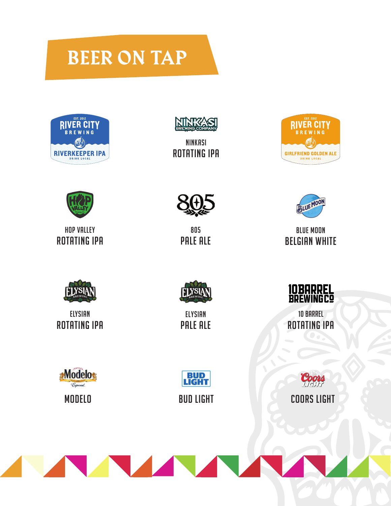## BEER ON TAP





Ninkasi Rotating IPA





HOP VALLEY ROTATING IPA



805 Pale ale



BLUE MOON **BELGIAN WHITE** 



**ELYSIAN** ROTATING IPA



ELYSIAN PALE ALE



10 Barrel Rotating IPA

**Modelo Especial MODELO** 



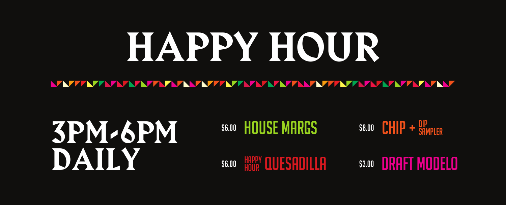# HAPPY HOUR

NAZZAZAZA AZAZAZA NAZAZAZA ZA ZAZAZA ZAZAZA ZA ZAZAZA NAZA

3PM-6PM DAILY

**S6.00 HOUSE MARGS** 

\$8.00 CHIP + <sup>DIP</sup> SAMPLER

\$6.00 HOPPY QUESADILLA \$3.00 DRAFT MODELO